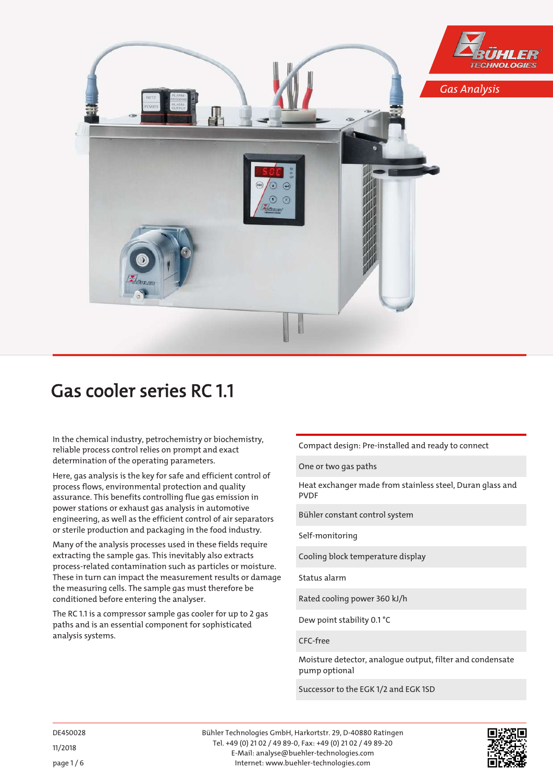

# Gas cooler series RC 1.1

In the chemical industry, petrochemistry or biochemistry, reliable process control relies on prompt and exact determination of the operating parameters.

Here, gas analysis is the key for safe and efficient control of process flows, environmental protection and quality assurance. This benefits controlling flue gas emission in power stations or exhaust gas analysis in automotive engineering, as well as the efficient control of air separators or sterile production and packaging in the food industry.

Many of the analysis processes used in these fields require extracting the sample gas. This inevitably also extracts process-related contamination such as particles or moisture. These in turn can impact the measurement results or damage the measuring cells. The sample gas must therefore be conditioned before entering the analyser.

The RC 1.1 is a compressor sample gas cooler for up to 2 gas paths and is an essential component for sophisticated analysis systems.

Compact design: Pre-installed and ready to connect

One or two gas paths

Heat exchanger made from stainless steel, Duran glass and PVDF

Bühler constant control system

Self-monitoring

Cooling block temperature display

Status alarm

Rated cooling power 360 kJ/h

Dew point stability 0.1 °C

CFC-free

Moisture detector, analogue output, filter and condensate pump optional

Successor to the EGK 1/2 and EGK 1SD

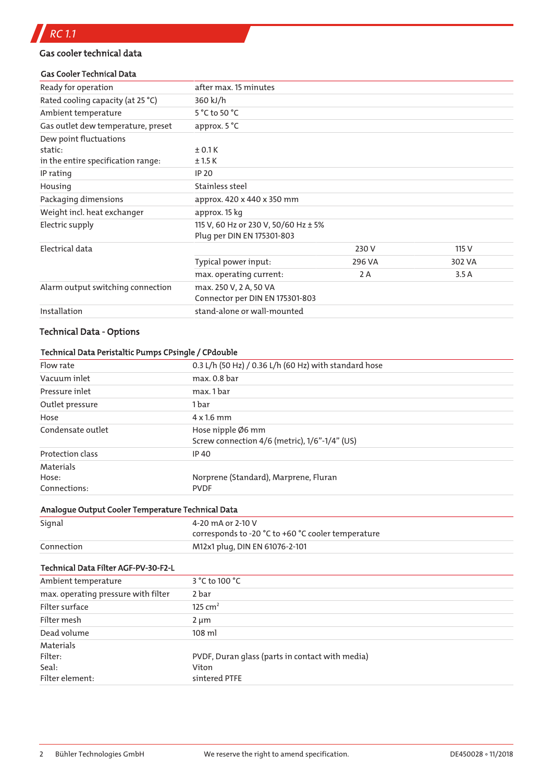# Gas cooler technical data

#### Gas Cooler Technical Data

| Ready for operation                | after max. 15 minutes                                              |        |        |
|------------------------------------|--------------------------------------------------------------------|--------|--------|
| Rated cooling capacity (at 25 °C)  | 360 kJ/h                                                           |        |        |
| Ambient temperature                | 5 °C to 50 °C                                                      |        |        |
| Gas outlet dew temperature, preset | approx. 5 °C                                                       |        |        |
| Dew point fluctuations             |                                                                    |        |        |
| static:                            | ±0.1K                                                              |        |        |
| in the entire specification range: | ±1.5K                                                              |        |        |
| IP rating                          | <b>IP 20</b>                                                       |        |        |
| Housing                            | Stainless steel                                                    |        |        |
| Packaging dimensions               | approx. 420 x 440 x 350 mm                                         |        |        |
| Weight incl. heat exchanger        | approx. 15 kg                                                      |        |        |
| Electric supply                    | 115 V, 60 Hz or 230 V, 50/60 Hz ± 5%<br>Plug per DIN EN 175301-803 |        |        |
| Electrical data                    |                                                                    | 230 V  | 115 V  |
|                                    | Typical power input:                                               | 296 VA | 302 VA |
|                                    | max. operating current:                                            | 2 A    | 3.5A   |
| Alarm output switching connection  | max. 250 V, 2 A, 50 VA<br>Connector per DIN EN 175301-803          |        |        |
| Installation                       | stand-alone or wall-mounted                                        |        |        |
|                                    |                                                                    |        |        |

# Technical Data - Options

# Technical Data Peristaltic Pumps CPsingle / CPdouble

| Flow rate         | 0.3 L/h (50 Hz) / 0.36 L/h (60 Hz) with standard hose              |
|-------------------|--------------------------------------------------------------------|
| Vacuum inlet      | max. 0.8 bar                                                       |
| Pressure inlet    | max. 1 bar                                                         |
| Outlet pressure   | 1 bar                                                              |
| Hose              | $4 \times 1.6$ mm                                                  |
| Condensate outlet | Hose nipple Ø6 mm<br>Screw connection 4/6 (metric), 1/6"-1/4" (US) |
| Protection class  | IP 40                                                              |
| Materials         |                                                                    |
| Hose:             | Norprene (Standard), Marprene, Fluran                              |
| Connections:      | <b>PVDF</b>                                                        |

#### Analogue Output Cooler Temperature Technical Data

| Signal     | 4-20 mA or 2-10 V                                  |
|------------|----------------------------------------------------|
|            | corresponds to -20 °C to +60 °C cooler temperature |
| Connection | M12x1 plug, DIN EN 61076-2-101                     |

#### Technical Data Filter AGF-PV-30-F2-L

| Ambient temperature                 | 3 °C to 100 °C                                  |
|-------------------------------------|-------------------------------------------------|
| max. operating pressure with filter | 2 bar                                           |
| Filter surface                      | 125 cm <sup>2</sup>                             |
| Filter mesh                         | $2 \mu m$                                       |
| Dead volume                         | $108$ ml                                        |
| Materials                           |                                                 |
| Filter:                             | PVDF, Duran glass (parts in contact with media) |
| Seal:                               | Viton                                           |
| Filter element:                     | sintered PTFE                                   |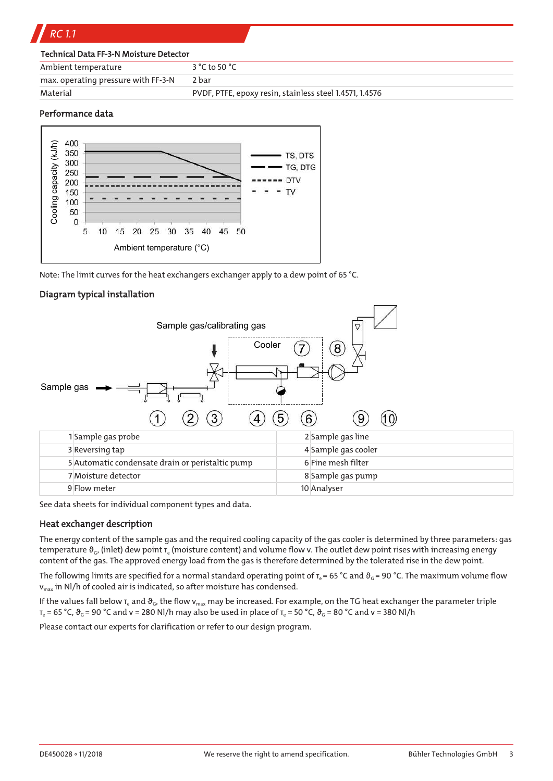| $3 °C$ to 50 $°C$                                       |
|---------------------------------------------------------|
| 2 bar                                                   |
| PVDF, PTFE, epoxy resin, stainless steel 1.4571, 1.4576 |
|                                                         |

#### Performance data



Note: The limit curves for the heat exchangers exchanger apply to a dew point of 65 °C.

#### Diagram typical installation



See data sheets for individual component types and data.

#### Heat exchanger description

The energy content of the sample gas and the required cooling capacity of the gas cooler is determined by three parameters: gas temperature  $\vartheta_c$ , (inlet) dew point  $\tau_e$  (moisture content) and volume flow v. The outlet dew point rises with increasing energy content of the gas. The approved energy load from the gas is therefore determined by the tolerated rise in the dew point.

The following limits are specified for a normal standard operating point of  $T_e$  = 65 °C and  $\vartheta_G$  = 90 °C. The maximum volume flow  $v_{\text{max}}$  in Nl/h of cooled air is indicated, so after moisture has condensed.

If the values fall below  $T_e$  and  $\vartheta_c$ , the flow  $v_{max}$  may be increased. For example, on the TG heat exchanger the parameter triple  $T_e = 65 \degree C$ ,  $\vartheta_G = 90 \degree C$  and v = 280 Nl/h may also be used in place of  $T_e = 50 \degree C$ ,  $\vartheta_G = 80 \degree C$  and v = 380 Nl/h

Please contact our experts for clarification or refer to our design program.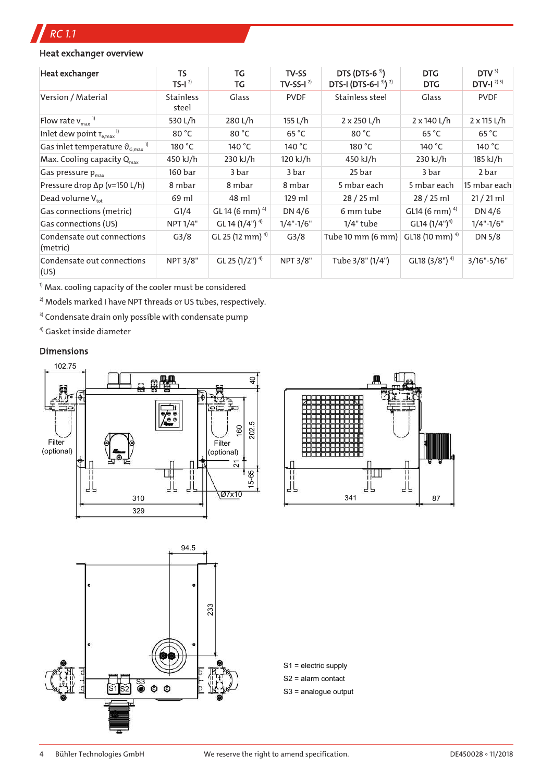# *RC 1.1*

# Heat exchanger overview

| Heat exchanger                                                       | <b>TS</b><br>$TS-I2$      | TG<br>TG                     | TV-SS<br>TV-SS-I $^{2}$ | DTS (DTS-6 $3)$ )<br>DTS-I (DTS-6-I <sup>3)</sup> ) <sup>2)</sup> | <b>DTG</b><br><b>DTG</b>    | DTV <sup>3</sup><br>$DTV-I23$ |
|----------------------------------------------------------------------|---------------------------|------------------------------|-------------------------|-------------------------------------------------------------------|-----------------------------|-------------------------------|
| Version / Material                                                   | <b>Stainless</b><br>steel | Glass                        | <b>PVDF</b>             | Stainless steel                                                   | Glass                       | <b>PVDF</b>                   |
| Flow rate $v_{\text{max}}$ <sup>1)</sup>                             | 530 L/h                   | 280 L/h                      | 155 L/h                 | $2 \times 250$ L/h                                                | 2 x 140 L/h                 | $2 \times 115$ L/h            |
| Inlet dew point $T_{\text{e,max}}$ <sup>1)</sup>                     | 80 °C                     | 80 °C                        | 65 °C                   | 80 °C                                                             | 65 °C                       | 65 °C                         |
| Gas inlet temperature $\vartheta_{\text{\tiny G,max}}$ <sup>1)</sup> | 180 °C                    | 140 °C                       | 140 °C                  | 180 °C                                                            | 140 °C                      | 140 °C                        |
| Max. Cooling capacity $Q_{\text{max}}$                               | 450 kJ/h                  | 230 kJ/h                     | 120 kJ/h                | 450 kJ/h                                                          | 230 kJ/h                    | 185 kJ/h                      |
| Gas pressure $p_{\text{max}}$                                        | 160 bar                   | 3 bar                        | 3 bar                   | 25 bar                                                            | 3 bar                       | 2 bar                         |
| Pressure drop ∆p (v=150 L/h)                                         | 8 mbar                    | 8 mbar                       | 8 mbar                  | 5 mbar each                                                       | 5 mbar each                 | 15 mbar each                  |
| Dead volume $V_{\text{tot}}$                                         | 69 ml                     | 48 ml                        | 129 ml                  | $28/25$ ml                                                        | $28/25$ ml                  | $21 / 21$ ml                  |
| Gas connections (metric)                                             | G1/4                      | GL 14 (6 mm) $4$             | DN 4/6                  | 6 mm tube                                                         | GL14 (6 mm) $4$ )           | DN 4/6                        |
| Gas connections (US)                                                 | NPT 1/4"                  | GL 14 $(1/4")$ <sup>4)</sup> | $1/4$ "- $1/6$ "        | $1/4$ " tube                                                      | GL14 $(1/4")^{4}$           | $1/4$ "-1/6"                  |
| Condensate out connections<br>(metric)                               | G <sub>3</sub> /8         | GL 25 (12 mm) $4$ )          | G <sub>3</sub> /8       | Tube 10 mm (6 mm)                                                 | GL18 (10 mm) $4$            | DN 5/8                        |
| Condensate out connections<br>(US)                                   | NPT 3/8"                  | GL 25 (1/2") <sup>4)</sup>   | <b>NPT 3/8"</b>         | Tube 3/8" (1/4")                                                  | GL18 $(3/8")$ <sup>4)</sup> | $3/16" - 5/16"$               |

 $^{1}$  Max. cooling capacity of the cooler must be considered

 $^{2)}$  Models marked I have NPT threads or US tubes, respectively.

<sup>3)</sup> Condensate drain only possible with condensate pump

4) Gasket inside diameter

# Dimensions





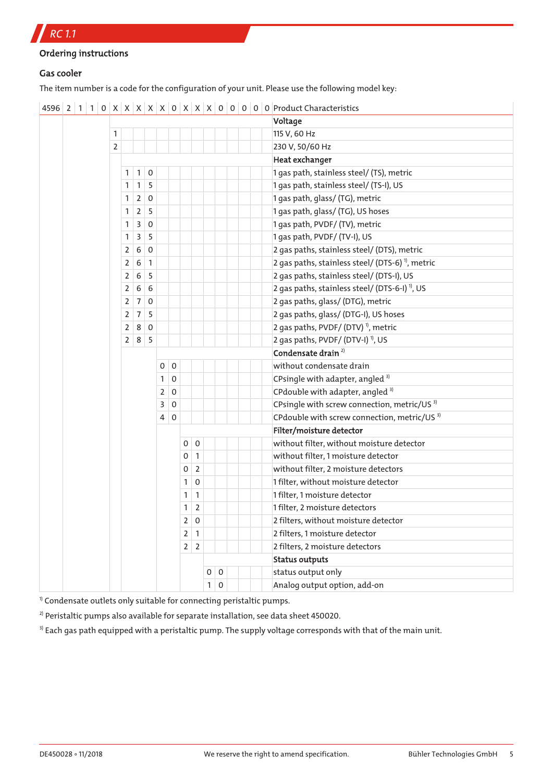*RC 1.1*

```
Ordering instructions
```
# Gas cooler

The item number is a code for the configuration of your unit. Please use the following model key:

|  |                |                |                   |                |                |             |                |                     |              |             |  | Voltage                                                     |
|--|----------------|----------------|-------------------|----------------|----------------|-------------|----------------|---------------------|--------------|-------------|--|-------------------------------------------------------------|
|  | 1              |                |                   |                |                |             |                |                     |              |             |  | 115 V, 60 Hz                                                |
|  | $\overline{2}$ |                |                   |                |                |             |                |                     |              |             |  | 230 V, 50/60 Hz                                             |
|  |                |                |                   |                |                |             |                |                     |              |             |  | <b>Heat exchanger</b>                                       |
|  |                | 1 <sup>1</sup> | $\mathbf{1}$      | $\overline{0}$ |                |             |                |                     |              |             |  | 1 gas path, stainless steel/ (TS), metric                   |
|  |                | $\mathbf{1}$   | $1 \mid 5$        |                |                |             |                |                     |              |             |  | 1 gas path, stainless steel/ (TS-I), US                     |
|  |                | 1              | $2 \mid 0$        |                |                |             |                |                     |              |             |  | 1 gas path, glass/ (TG), metric                             |
|  |                | $\mathbf{1}$   | $2 \mid 5$        |                |                |             |                |                     |              |             |  | 1 gas path, glass/ (TG), US hoses                           |
|  |                | 1              | $\overline{3}$    | $\overline{0}$ |                |             |                |                     |              |             |  | 1 gas path, PVDF/ (TV), metric                              |
|  |                | 1              | $\overline{3}$    | -5             |                |             |                |                     |              |             |  | 1 gas path, PVDF/ (TV-I), US                                |
|  |                | $\overline{2}$ | 6                 | $\overline{0}$ |                |             |                |                     |              |             |  | 2 gas paths, stainless steel/ (DTS), metric                 |
|  |                | $\overline{2}$ | 6                 | $\vert$ 1      |                |             |                |                     |              |             |  | 2 gas paths, stainless steel/ (DTS-6) <sup>1</sup> , metric |
|  |                | $\overline{2}$ | 6                 | 5              |                |             |                |                     |              |             |  | 2 gas paths, stainless steel/ (DTS-I), US                   |
|  |                | $\overline{2}$ | $\,$ 6 $\,$       | 6              |                |             |                |                     |              |             |  | 2 gas paths, stainless steel/ (DTS-6-I) <sup>1</sup> , US   |
|  |                | $\overline{2}$ | 7 0               |                |                |             |                |                     |              |             |  | 2 gas paths, glass/ (DTG), metric                           |
|  |                | $\overline{2}$ | $7 \mid 5$        |                |                |             |                |                     |              |             |  | 2 gas paths, glass/ (DTG-I), US hoses                       |
|  |                | $\overline{2}$ | 8 0               |                |                |             |                |                     |              |             |  | 2 gas paths, PVDF/ $(DTV)^{1}$ , metric                     |
|  |                |                | $2 \mid 8 \mid 5$ |                |                |             |                |                     |              |             |  | 2 gas paths, PVDF/ (DTV-I) <sup>1)</sup> , US               |
|  |                |                |                   |                |                |             |                |                     |              |             |  | Condensate drain <sup>2)</sup>                              |
|  |                |                |                   |                | 0              | $\pmb{0}$   |                |                     |              |             |  | without condensate drain                                    |
|  |                |                |                   |                | $\mathbf{1}$   | $\pmb{0}$   |                |                     |              |             |  | CPsingle with adapter, angled <sup>3)</sup>                 |
|  |                |                |                   |                | $\mathsf 2$    | $\mathbf 0$ |                |                     |              |             |  | CPdouble with adapter, angled <sup>3)</sup>                 |
|  |                |                |                   |                | 3              | $\mathbf 0$ |                |                     |              |             |  | CPsingle with screw connection, metric/US <sup>3)</sup>     |
|  |                |                |                   |                | $\overline{4}$ | $\mathbf 0$ |                |                     |              |             |  | CPdouble with screw connection, metric/US <sup>3)</sup>     |
|  |                |                |                   |                |                |             |                |                     |              |             |  | Filter/moisture detector                                    |
|  |                |                |                   |                |                |             | 0              | $\mathsf{O}\xspace$ |              |             |  | without filter, without moisture detector                   |
|  |                |                |                   |                |                |             | 0              | $\mathbf{1}$        |              |             |  | without filter, 1 moisture detector                         |
|  |                |                |                   |                |                |             | 0              | $\overline{2}$      |              |             |  | without filter, 2 moisture detectors                        |
|  |                |                |                   |                |                |             | 1              | $\mathsf{O}\xspace$ |              |             |  | 1 filter, without moisture detector                         |
|  |                |                |                   |                |                |             | 1              | $\mathbf{1}$        |              |             |  | 1 filter, 1 moisture detector                               |
|  |                |                |                   |                |                |             | 1              | $\overline{2}$      |              |             |  | 1 filter, 2 moisture detectors                              |
|  |                |                |                   |                |                |             | $\overline{2}$ | $\mathsf{O}\xspace$ |              |             |  | 2 filters, without moisture detector                        |
|  |                |                |                   |                |                |             | $\overline{2}$ | $\mathbf{1}$        |              |             |  | 2 filters, 1 moisture detector                              |
|  |                |                |                   |                |                |             | $\overline{2}$ | $\mathbf 2$         |              |             |  | 2 filters, 2 moisture detectors                             |
|  |                |                |                   |                |                |             |                |                     |              |             |  | <b>Status outputs</b>                                       |
|  |                |                |                   |                |                |             |                |                     | $\mathbf{O}$ | $\mathbf 0$ |  | status output only                                          |
|  |                |                |                   |                |                |             |                |                     | 1            | $\mathbf 0$ |  | Analog output option, add-on                                |

| 4596 | 2 | 1 | 1 | 0 |  $X$  |  $X$  |  $X$  |  $X$  |  $X$  |  $0$  |  $X$  |  $X$  |  $0$  |  $0$  |  $0$  |  $0$  |  $0$  |  $0$  |  $0$  |  $0$  |  $0$  |  $0$  |  $0$  |  $0$  |  $0$  |  $0$  |  $0$  |  $0$  |  $0$  |  $0$  |  $0$  |  $0$  |  $0$  |  $0$  |  $0$  |  $0$  |  $0$ 

 $1)$  Condensate outlets only suitable for connecting peristaltic pumps.

<sup>2)</sup> Peristaltic pumps also available for separate installation, see data sheet 450020.

<sup>3)</sup> Each gas path equipped with a peristaltic pump. The supply voltage corresponds with that of the main unit.